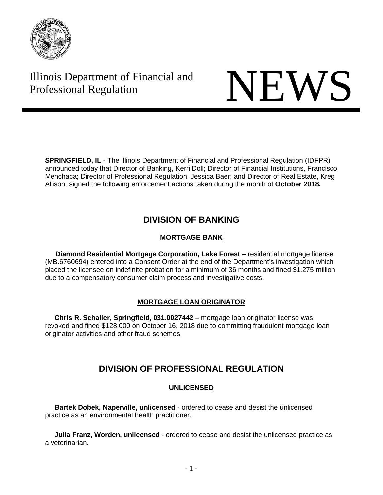

# Illinois Department of Financial and Illinois Department of Financial and<br>Professional Regulation

**SPRINGFIELD, IL** - The Illinois Department of Financial and Professional Regulation (IDFPR) announced today that Director of Banking, Kerri Doll; Director of Financial Institutions, Francisco Menchaca; Director of Professional Regulation, Jessica Baer; and Director of Real Estate, Kreg Allison, signed the following enforcement actions taken during the month of **October 2018.**

### **DIVISION OF BANKING**

### **MORTGAGE BANK**

**Diamond Residential Mortgage Corporation, Lake Forest** – residential mortgage license (MB.6760694) entered into a Consent Order at the end of the Department's investigation which placed the licensee on indefinite probation for a minimum of 36 months and fined \$1.275 million due to a compensatory consumer claim process and investigative costs.

### **MORTGAGE LOAN ORIGINATOR**

 **Chris R. Schaller, Springfield, 031.0027442 –** mortgage loan originator license was revoked and fined \$128,000 on October 16, 2018 due to committing fraudulent mortgage loan originator activities and other fraud schemes.

## **DIVISION OF PROFESSIONAL REGULATION**

### **UNLICENSED**

 **Bartek Dobek, Naperville, unlicensed** - ordered to cease and desist the unlicensed practice as an environmental health practitioner.

 **Julia Franz, Worden, unlicensed** - ordered to cease and desist the unlicensed practice as a veterinarian.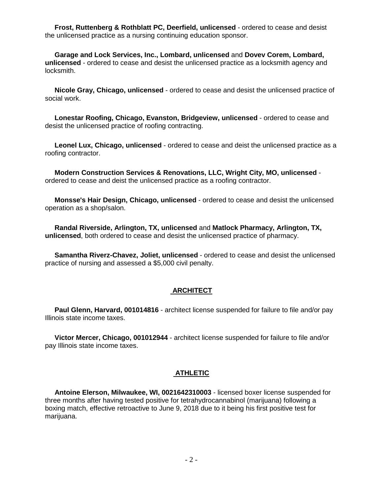**Frost, Ruttenberg & Rothblatt PC, Deerfield, unlicensed** - ordered to cease and desist the unlicensed practice as a nursing continuing education sponsor.

 **Garage and Lock Services, Inc., Lombard, unlicensed** and **Dovev Corem, Lombard, unlicensed** - ordered to cease and desist the unlicensed practice as a locksmith agency and locksmith.

 **Nicole Gray, Chicago, unlicensed** - ordered to cease and desist the unlicensed practice of social work.

 **Lonestar Roofing, Chicago, Evanston, Bridgeview, unlicensed** - ordered to cease and desist the unlicensed practice of roofing contracting.

 **Leonel Lux, Chicago, unlicensed** - ordered to cease and deist the unlicensed practice as a roofing contractor.

 **Modern Construction Services & Renovations, LLC, Wright City, MO, unlicensed** ordered to cease and deist the unlicensed practice as a roofing contractor.

 **Monsse's Hair Design, Chicago, unlicensed** - ordered to cease and desist the unlicensed operation as a shop/salon.

 **Randal Riverside, Arlington, TX, unlicensed** and **Matlock Pharmacy, Arlington, TX, unlicensed**, both ordered to cease and desist the unlicensed practice of pharmacy.

 **Samantha Riverz-Chavez, Joliet, unlicensed** - ordered to cease and desist the unlicensed practice of nursing and assessed a \$5,000 civil penalty.

#### **ARCHITECT**

**Paul Glenn, Harvard, 001014816** - architect license suspended for failure to file and/or pay Illinois state income taxes.

 **Victor Mercer, Chicago, 001012944** - architect license suspended for failure to file and/or pay Illinois state income taxes.

#### **ATHLETIC**

 **Antoine Elerson, Milwaukee, WI, 0021642310003** - licensed boxer license suspended for three months after having tested positive for tetrahydrocannabinol (marijuana) following a boxing match, effective retroactive to June 9, 2018 due to it being his first positive test for marijuana.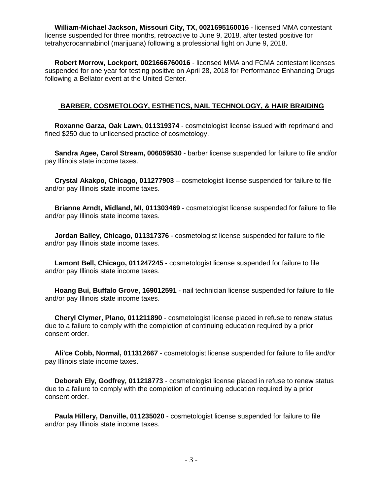**William-Michael Jackson, Missouri City, TX, 0021695160016** - licensed MMA contestant license suspended for three months, retroactive to June 9, 2018, after tested positive for tetrahydrocannabinol (marijuana) following a professional fight on June 9, 2018.

 **Robert Morrow, Lockport, 0021666760016** - licensed MMA and FCMA contestant licenses suspended for one year for testing positive on April 28, 2018 for Performance Enhancing Drugs following a Bellator event at the United Center.

### **BARBER, COSMETOLOGY, ESTHETICS, NAIL TECHNOLOGY, & HAIR BRAIDING**

 **Roxanne Garza, Oak Lawn, 011319374** - cosmetologist license issued with reprimand and fined \$250 due to unlicensed practice of cosmetology.

 **Sandra Agee, Carol Stream, 006059530** - barber license suspended for failure to file and/or pay Illinois state income taxes.

 **Crystal Akakpo, Chicago, 011277903** – cosmetologist license suspended for failure to file and/or pay Illinois state income taxes.

 **Brianne Arndt, Midland, MI, 011303469** - cosmetologist license suspended for failure to file and/or pay Illinois state income taxes.

 **Jordan Bailey, Chicago, 011317376** - cosmetologist license suspended for failure to file and/or pay Illinois state income taxes.

 **Lamont Bell, Chicago, 011247245** - cosmetologist license suspended for failure to file and/or pay Illinois state income taxes.

 **Hoang Bui, Buffalo Grove, 169012591** - nail technician license suspended for failure to file and/or pay Illinois state income taxes.

 **Cheryl Clymer, Plano, 011211890** - cosmetologist license placed in refuse to renew status due to a failure to comply with the completion of continuing education required by a prior consent order.

 **Ali'ce Cobb, Normal, 011312667** - cosmetologist license suspended for failure to file and/or pay Illinois state income taxes.

 **Deborah Ely, Godfrey, 011218773** - cosmetologist license placed in refuse to renew status due to a failure to comply with the completion of continuing education required by a prior consent order.

 **Paula Hillery, Danville, 011235020** - cosmetologist license suspended for failure to file and/or pay Illinois state income taxes.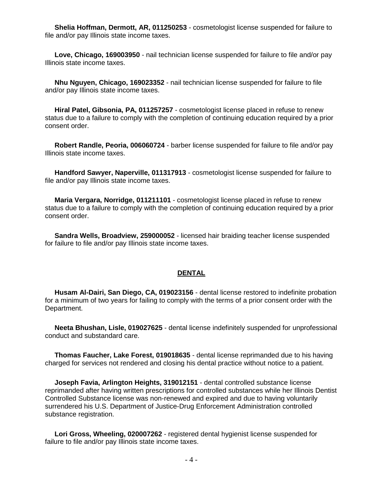**Shelia Hoffman, Dermott, AR, 011250253** - cosmetologist license suspended for failure to file and/or pay Illinois state income taxes.

 **Love, Chicago, 169003950** - nail technician license suspended for failure to file and/or pay Illinois state income taxes.

 **Nhu Nguyen, Chicago, 169023352** - nail technician license suspended for failure to file and/or pay Illinois state income taxes.

 **Hiral Patel, Gibsonia, PA, 011257257** - cosmetologist license placed in refuse to renew status due to a failure to comply with the completion of continuing education required by a prior consent order.

 **Robert Randle, Peoria, 006060724** - barber license suspended for failure to file and/or pay Illinois state income taxes.

 **Handford Sawyer, Naperville, 011317913** - cosmetologist license suspended for failure to file and/or pay Illinois state income taxes.

 **Maria Vergara, Norridge, 011211101** - cosmetologist license placed in refuse to renew status due to a failure to comply with the completion of continuing education required by a prior consent order.

 **Sandra Wells, Broadview, 259000052** - licensed hair braiding teacher license suspended for failure to file and/or pay Illinois state income taxes.

#### **DENTAL**

 **Husam Al-Dairi, San Diego, CA, 019023156** - dental license restored to indefinite probation for a minimum of two years for failing to comply with the terms of a prior consent order with the Department.

 **Neeta Bhushan, Lisle, 019027625** - dental license indefinitely suspended for unprofessional conduct and substandard care.

 **Thomas Faucher, Lake Forest, 019018635** - dental license reprimanded due to his having charged for services not rendered and closing his dental practice without notice to a patient.

 **Joseph Favia, Arlington Heights, 319012151** - dental controlled substance license reprimanded after having written prescriptions for controlled substances while her Illinois Dentist Controlled Substance license was non-renewed and expired and due to having voluntarily surrendered his U.S. Department of Justice-Drug Enforcement Administration controlled substance registration.

 **Lori Gross, Wheeling, 020007262** - registered dental hygienist license suspended for failure to file and/or pay Illinois state income taxes.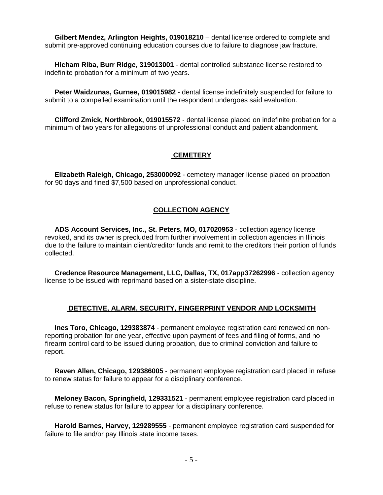**Gilbert Mendez, Arlington Heights, 019018210** – dental license ordered to complete and submit pre-approved continuing education courses due to failure to diagnose jaw fracture.

 **Hicham Riba, Burr Ridge, 319013001** - dental controlled substance license restored to indefinite probation for a minimum of two years.

 **Peter Waidzunas, Gurnee, 019015982** - dental license indefinitely suspended for failure to submit to a compelled examination until the respondent undergoes said evaluation.

 **Clifford Zmick, Northbrook, 019015572** - dental license placed on indefinite probation for a minimum of two years for allegations of unprofessional conduct and patient abandonment.

#### **CEMETERY**

 **Elizabeth Raleigh, Chicago, 253000092** - cemetery manager license placed on probation for 90 days and fined \$7,500 based on unprofessional conduct.

#### **COLLECTION AGENCY**

 **ADS Account Services, Inc., St. Peters, MO, 017020953** - collection agency license revoked, and its owner is precluded from further involvement in collection agencies in Illinois due to the failure to maintain client/creditor funds and remit to the creditors their portion of funds collected.

 **Credence Resource Management, LLC, Dallas, TX, 017app37262996** - collection agency license to be issued with reprimand based on a sister-state discipline.

#### **DETECTIVE, ALARM, SECURITY, FINGERPRINT VENDOR AND LOCKSMITH**

 **Ines Toro, Chicago, 129383874** - permanent employee registration card renewed on nonreporting probation for one year, effective upon payment of fees and filing of forms, and no firearm control card to be issued during probation, due to criminal conviction and failure to report.

 **Raven Allen, Chicago, 129386005** - permanent employee registration card placed in refuse to renew status for failure to appear for a disciplinary conference.

 **Meloney Bacon, Springfield, 129331521** - permanent employee registration card placed in refuse to renew status for failure to appear for a disciplinary conference.

 **Harold Barnes, Harvey, 129289555** - permanent employee registration card suspended for failure to file and/or pay Illinois state income taxes.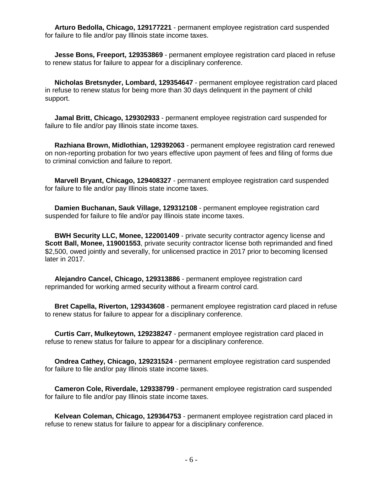**Arturo Bedolla, Chicago, 129177221** - permanent employee registration card suspended for failure to file and/or pay Illinois state income taxes.

 **Jesse Bons, Freeport, 129353869** - permanent employee registration card placed in refuse to renew status for failure to appear for a disciplinary conference.

 **Nicholas Bretsnyder, Lombard, 129354647** - permanent employee registration card placed in refuse to renew status for being more than 30 days delinquent in the payment of child support.

 **Jamal Britt, Chicago, 129302933** - permanent employee registration card suspended for failure to file and/or pay Illinois state income taxes.

 **Razhiana Brown, Midlothian, 129392063** - permanent employee registration card renewed on non-reporting probation for two years effective upon payment of fees and filing of forms due to criminal conviction and failure to report.

 **Marvell Bryant, Chicago, 129408327** - permanent employee registration card suspended for failure to file and/or pay Illinois state income taxes.

 **Damien Buchanan, Sauk Village, 129312108** - permanent employee registration card suspended for failure to file and/or pay Illinois state income taxes.

 **BWH Security LLC, Monee, 122001409** - private security contractor agency license and **Scott Ball, Monee, 119001553**, private security contractor license both reprimanded and fined \$2,500, owed jointly and severally, for unlicensed practice in 2017 prior to becoming licensed later in 2017.

 **Alejandro Cancel, Chicago, 129313886** - permanent employee registration card reprimanded for working armed security without a firearm control card.

 **Bret Capella, Riverton, 129343608** - permanent employee registration card placed in refuse to renew status for failure to appear for a disciplinary conference.

 **Curtis Carr, Mulkeytown, 129238247** - permanent employee registration card placed in refuse to renew status for failure to appear for a disciplinary conference.

 **Ondrea Cathey, Chicago, 129231524** - permanent employee registration card suspended for failure to file and/or pay Illinois state income taxes.

 **Cameron Cole, Riverdale, 129338799** - permanent employee registration card suspended for failure to file and/or pay Illinois state income taxes.

 **Kelvean Coleman, Chicago, 129364753** - permanent employee registration card placed in refuse to renew status for failure to appear for a disciplinary conference.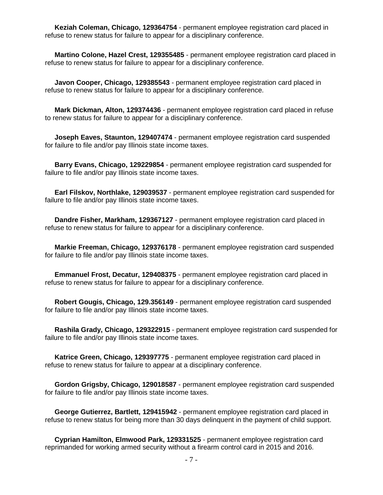**Keziah Coleman, Chicago, 129364754** - permanent employee registration card placed in refuse to renew status for failure to appear for a disciplinary conference.

 **Martino Colone, Hazel Crest, 129355485** - permanent employee registration card placed in refuse to renew status for failure to appear for a disciplinary conference.

 **Javon Cooper, Chicago, 129385543** - permanent employee registration card placed in refuse to renew status for failure to appear for a disciplinary conference.

 **Mark Dickman, Alton, 129374436** - permanent employee registration card placed in refuse to renew status for failure to appear for a disciplinary conference.

 **Joseph Eaves, Staunton, 129407474** - permanent employee registration card suspended for failure to file and/or pay Illinois state income taxes.

 **Barry Evans, Chicago, 129229854** - permanent employee registration card suspended for failure to file and/or pay Illinois state income taxes.

 **Earl Filskov, Northlake, 129039537** - permanent employee registration card suspended for failure to file and/or pay Illinois state income taxes.

 **Dandre Fisher, Markham, 129367127** - permanent employee registration card placed in refuse to renew status for failure to appear for a disciplinary conference.

 **Markie Freeman, Chicago, 129376178** - permanent employee registration card suspended for failure to file and/or pay Illinois state income taxes.

 **Emmanuel Frost, Decatur, 129408375** - permanent employee registration card placed in refuse to renew status for failure to appear for a disciplinary conference.

 **Robert Gougis, Chicago, 129.356149** - permanent employee registration card suspended for failure to file and/or pay Illinois state income taxes.

 **Rashila Grady, Chicago, 129322915** - permanent employee registration card suspended for failure to file and/or pay Illinois state income taxes.

 **Katrice Green, Chicago, 129397775** - permanent employee registration card placed in refuse to renew status for failure to appear at a disciplinary conference.

 **Gordon Grigsby, Chicago, 129018587** - permanent employee registration card suspended for failure to file and/or pay Illinois state income taxes.

 **George Gutierrez, Bartlett, 129415942** - permanent employee registration card placed in refuse to renew status for being more than 30 days delinquent in the payment of child support.

 **Cyprian Hamilton, Elmwood Park, 129331525** - permanent employee registration card reprimanded for working armed security without a firearm control card in 2015 and 2016.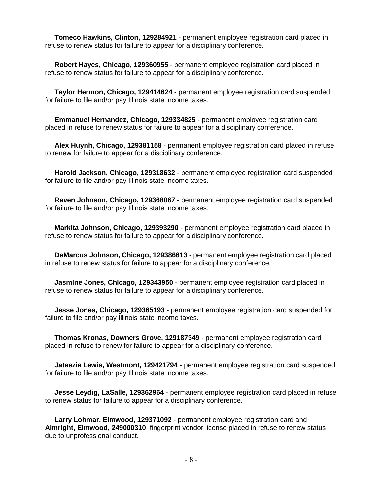**Tomeco Hawkins, Clinton, 129284921** - permanent employee registration card placed in refuse to renew status for failure to appear for a disciplinary conference.

 **Robert Hayes, Chicago, 129360955** - permanent employee registration card placed in refuse to renew status for failure to appear for a disciplinary conference.

 **Taylor Hermon, Chicago, 129414624** - permanent employee registration card suspended for failure to file and/or pay Illinois state income taxes.

 **Emmanuel Hernandez, Chicago, 129334825** - permanent employee registration card placed in refuse to renew status for failure to appear for a disciplinary conference.

 **Alex Huynh, Chicago, 129381158** - permanent employee registration card placed in refuse to renew for failure to appear for a disciplinary conference.

 **Harold Jackson, Chicago, 129318632** - permanent employee registration card suspended for failure to file and/or pay Illinois state income taxes.

 **Raven Johnson, Chicago, 129368067** - permanent employee registration card suspended for failure to file and/or pay Illinois state income taxes.

 **Markita Johnson, Chicago, 129393290** - permanent employee registration card placed in refuse to renew status for failure to appear for a disciplinary conference.

 **DeMarcus Johnson, Chicago, 129386613** - permanent employee registration card placed in refuse to renew status for failure to appear for a disciplinary conference.

 **Jasmine Jones, Chicago, 129343950** - permanent employee registration card placed in refuse to renew status for failure to appear for a disciplinary conference.

 **Jesse Jones, Chicago, 129365193** - permanent employee registration card suspended for failure to file and/or pay Illinois state income taxes.

 **Thomas Kronas, Downers Grove, 129187349** - permanent employee registration card placed in refuse to renew for failure to appear for a disciplinary conference.

 **Jataezia Lewis, Westmont, 129421794** - permanent employee registration card suspended for failure to file and/or pay Illinois state income taxes.

 **Jesse Leydig, LaSalle, 129362964** - permanent employee registration card placed in refuse to renew status for failure to appear for a disciplinary conference.

 **Larry Lohmar, Elmwood, 129371092** - permanent employee registration card and **Aimright, Elmwood, 249000310**, fingerprint vendor license placed in refuse to renew status due to unprofessional conduct.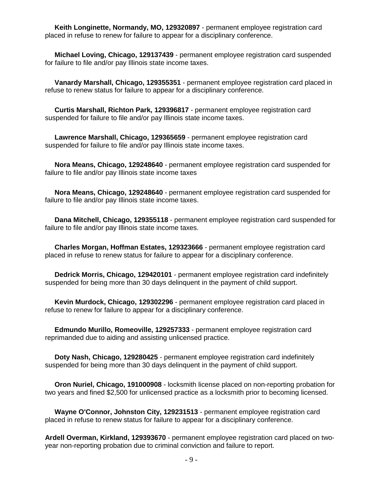**Keith Longinette, Normandy, MO, 129320897** - permanent employee registration card placed in refuse to renew for failure to appear for a disciplinary conference.

 **Michael Loving, Chicago, 129137439** - permanent employee registration card suspended for failure to file and/or pay Illinois state income taxes.

 **Vanardy Marshall, Chicago, 129355351** - permanent employee registration card placed in refuse to renew status for failure to appear for a disciplinary conference.

 **Curtis Marshall, Richton Park, 129396817** - permanent employee registration card suspended for failure to file and/or pay Illinois state income taxes.

 **Lawrence Marshall, Chicago, 129365659** - permanent employee registration card suspended for failure to file and/or pay Illinois state income taxes.

 **Nora Means, Chicago, 129248640** - permanent employee registration card suspended for failure to file and/or pay Illinois state income taxes

 **Nora Means, Chicago, 129248640** - permanent employee registration card suspended for failure to file and/or pay Illinois state income taxes.

 **Dana Mitchell, Chicago, 129355118** - permanent employee registration card suspended for failure to file and/or pay Illinois state income taxes.

 **Charles Morgan, Hoffman Estates, 129323666** - permanent employee registration card placed in refuse to renew status for failure to appear for a disciplinary conference.

 **Dedrick Morris, Chicago, 129420101** - permanent employee registration card indefinitely suspended for being more than 30 days delinquent in the payment of child support.

 **Kevin Murdock, Chicago, 129302296** - permanent employee registration card placed in refuse to renew for failure to appear for a disciplinary conference.

 **Edmundo Murillo, Romeoville, 129257333** - permanent employee registration card reprimanded due to aiding and assisting unlicensed practice.

 **Doty Nash, Chicago, 129280425** - permanent employee registration card indefinitely suspended for being more than 30 days delinquent in the payment of child support.

 **Oron Nuriel, Chicago, 191000908** - locksmith license placed on non-reporting probation for two years and fined \$2,500 for unlicensed practice as a locksmith prior to becoming licensed.

 **Wayne O'Connor, Johnston City, 129231513** - permanent employee registration card placed in refuse to renew status for failure to appear for a disciplinary conference.

**Ardell Overman, Kirkland, 129393670** - permanent employee registration card placed on twoyear non-reporting probation due to criminal conviction and failure to report.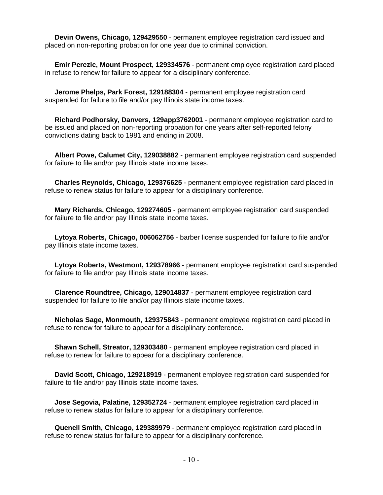**Devin Owens, Chicago, 129429550** - permanent employee registration card issued and placed on non-reporting probation for one year due to criminal conviction.

 **Emir Perezic, Mount Prospect, 129334576** - permanent employee registration card placed in refuse to renew for failure to appear for a disciplinary conference.

 **Jerome Phelps, Park Forest, 129188304** - permanent employee registration card suspended for failure to file and/or pay Illinois state income taxes.

 **Richard Podhorsky, Danvers, 129app3762001** - permanent employee registration card to be issued and placed on non-reporting probation for one years after self-reported felony convictions dating back to 1981 and ending in 2008.

 **Albert Powe, Calumet City, 129038882** - permanent employee registration card suspended for failure to file and/or pay Illinois state income taxes.

 **Charles Reynolds, Chicago, 129376625** - permanent employee registration card placed in refuse to renew status for failure to appear for a disciplinary conference.

 **Mary Richards, Chicago, 129274605** - permanent employee registration card suspended for failure to file and/or pay Illinois state income taxes.

 **Lytoya Roberts, Chicago, 006062756** - barber license suspended for failure to file and/or pay Illinois state income taxes.

 **Lytoya Roberts, Westmont, 129378966** - permanent employee registration card suspended for failure to file and/or pay Illinois state income taxes.

 **Clarence Roundtree, Chicago, 129014837** - permanent employee registration card suspended for failure to file and/or pay Illinois state income taxes.

 **Nicholas Sage, Monmouth, 129375843** - permanent employee registration card placed in refuse to renew for failure to appear for a disciplinary conference.

 **Shawn Schell, Streator, 129303480** - permanent employee registration card placed in refuse to renew for failure to appear for a disciplinary conference.

 **David Scott, Chicago, 129218919** - permanent employee registration card suspended for failure to file and/or pay Illinois state income taxes.

 **Jose Segovia, Palatine, 129352724** - permanent employee registration card placed in refuse to renew status for failure to appear for a disciplinary conference.

 **Quenell Smith, Chicago, 129389979** - permanent employee registration card placed in refuse to renew status for failure to appear for a disciplinary conference.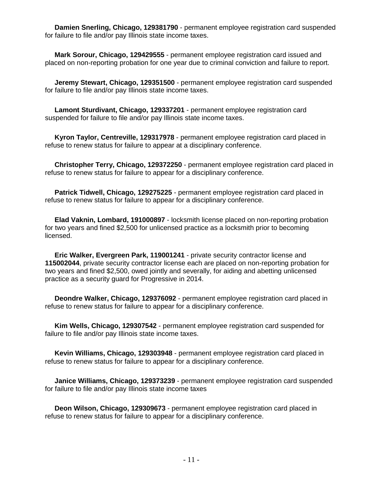**Damien Snerling, Chicago, 129381790** - permanent employee registration card suspended for failure to file and/or pay Illinois state income taxes.

 **Mark Sorour, Chicago, 129429555** - permanent employee registration card issued and placed on non-reporting probation for one year due to criminal conviction and failure to report.

 **Jeremy Stewart, Chicago, 129351500** - permanent employee registration card suspended for failure to file and/or pay Illinois state income taxes.

 **Lamont Sturdivant, Chicago, 129337201** - permanent employee registration card suspended for failure to file and/or pay Illinois state income taxes.

 **Kyron Taylor, Centreville, 129317978** - permanent employee registration card placed in refuse to renew status for failure to appear at a disciplinary conference.

 **Christopher Terry, Chicago, 129372250** - permanent employee registration card placed in refuse to renew status for failure to appear for a disciplinary conference.

 **Patrick Tidwell, Chicago, 129275225** - permanent employee registration card placed in refuse to renew status for failure to appear for a disciplinary conference.

 **Elad Vaknin, Lombard, 191000897** - locksmith license placed on non-reporting probation for two years and fined \$2,500 for unlicensed practice as a locksmith prior to becoming licensed.

 **Eric Walker, Evergreen Park, 119001241** - private security contractor license and **115002044**, private security contractor license each are placed on non-reporting probation for two years and fined \$2,500, owed jointly and severally, for aiding and abetting unlicensed practice as a security guard for Progressive in 2014.

 **Deondre Walker, Chicago, 129376092** - permanent employee registration card placed in refuse to renew status for failure to appear for a disciplinary conference.

 **Kim Wells, Chicago, 129307542** - permanent employee registration card suspended for failure to file and/or pay Illinois state income taxes.

 **Kevin Williams, Chicago, 129303948** - permanent employee registration card placed in refuse to renew status for failure to appear for a disciplinary conference.

 **Janice Williams, Chicago, 129373239** - permanent employee registration card suspended for failure to file and/or pay Illinois state income taxes

 **Deon Wilson, Chicago, 129309673** - permanent employee registration card placed in refuse to renew status for failure to appear for a disciplinary conference.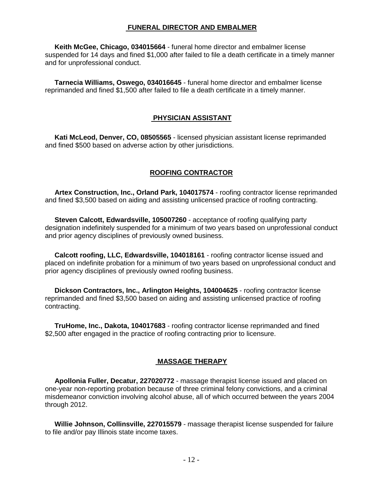#### **FUNERAL DIRECTOR AND EMBALMER**

 **Keith McGee, Chicago, 034015664** - funeral home director and embalmer license suspended for 14 days and fined \$1,000 after failed to file a death certificate in a timely manner and for unprofessional conduct.

 **Tarnecia Williams, Oswego, 034016645** - funeral home director and embalmer license reprimanded and fined \$1,500 after failed to file a death certificate in a timely manner.

#### **PHYSICIAN ASSISTANT**

 **Kati McLeod, Denver, CO, 08505565** - licensed physician assistant license reprimanded and fined \$500 based on adverse action by other jurisdictions.

#### **ROOFING CONTRACTOR**

 **Artex Construction, Inc., Orland Park, 104017574** - roofing contractor license reprimanded and fined \$3,500 based on aiding and assisting unlicensed practice of roofing contracting.

 **Steven Calcott, Edwardsville, 105007260** - acceptance of roofing qualifying party designation indefinitely suspended for a minimum of two years based on unprofessional conduct and prior agency disciplines of previously owned business.

 **Calcott roofing, LLC, Edwardsville, 104018161** - roofing contractor license issued and placed on indefinite probation for a minimum of two years based on unprofessional conduct and prior agency disciplines of previously owned roofing business.

 **Dickson Contractors, Inc., Arlington Heights, 104004625** - roofing contractor license reprimanded and fined \$3,500 based on aiding and assisting unlicensed practice of roofing contracting.

 **TruHome, Inc., Dakota, 104017683** - roofing contractor license reprimanded and fined \$2,500 after engaged in the practice of roofing contracting prior to licensure.

#### **MASSAGE THERAPY**

 **Apollonia Fuller, Decatur, 227020772** - massage therapist license issued and placed on one-year non-reporting probation because of three criminal felony convictions, and a criminal misdemeanor conviction involving alcohol abuse, all of which occurred between the years 2004 through 2012.

 **Willie Johnson, Collinsville, 227015579** - massage therapist license suspended for failure to file and/or pay Illinois state income taxes.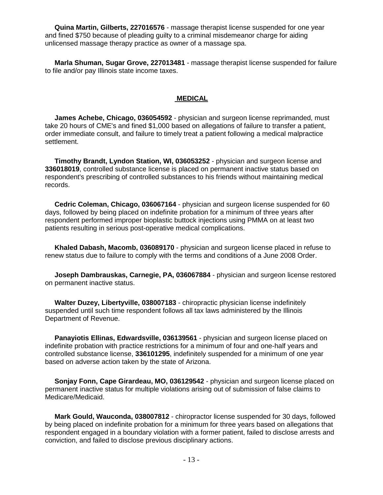**Quina Martin, Gilberts, 227016576** - massage therapist license suspended for one year and fined \$750 because of pleading guilty to a criminal misdemeanor charge for aiding unlicensed massage therapy practice as owner of a massage spa.

 **Marla Shuman, Sugar Grove, 227013481** - massage therapist license suspended for failure to file and/or pay Illinois state income taxes.

#### **MEDICAL**

 **James Achebe, Chicago, 036054592** - physician and surgeon license reprimanded, must take 20 hours of CME's and fined \$1,000 based on allegations of failure to transfer a patient, order immediate consult, and failure to timely treat a patient following a medical malpractice settlement.

 **Timothy Brandt, Lyndon Station, WI, 036053252** - physician and surgeon license and **336018019**, controlled substance license is placed on permanent inactive status based on respondent's prescribing of controlled substances to his friends without maintaining medical records.

 **Cedric Coleman, Chicago, 036067164** - physician and surgeon license suspended for 60 days, followed by being placed on indefinite probation for a minimum of three years after respondent performed improper bioplastic buttock injections using PMMA on at least two patients resulting in serious post-operative medical complications.

 **Khaled Dabash, Macomb, 036089170** - physician and surgeon license placed in refuse to renew status due to failure to comply with the terms and conditions of a June 2008 Order.

 **Joseph Dambrauskas, Carnegie, PA, 036067884** - physician and surgeon license restored on permanent inactive status.

 **Walter Duzey, Libertyville, 038007183** - chiropractic physician license indefinitely suspended until such time respondent follows all tax laws administered by the Illinois Department of Revenue.

 **Panayiotis Ellinas, Edwardsville, 036139561** - physician and surgeon license placed on indefinite probation with practice restrictions for a minimum of four and one-half years and controlled substance license, **336101295**, indefinitely suspended for a minimum of one year based on adverse action taken by the state of Arizona.

 **Sonjay Fonn, Cape Girardeau, MO, 036129542** - physician and surgeon license placed on permanent inactive status for multiple violations arising out of submission of false claims to Medicare/Medicaid.

 **Mark Gould, Wauconda, 038007812** - chiropractor license suspended for 30 days, followed by being placed on indefinite probation for a minimum for three years based on allegations that respondent engaged in a boundary violation with a former patient, failed to disclose arrests and conviction, and failed to disclose previous disciplinary actions.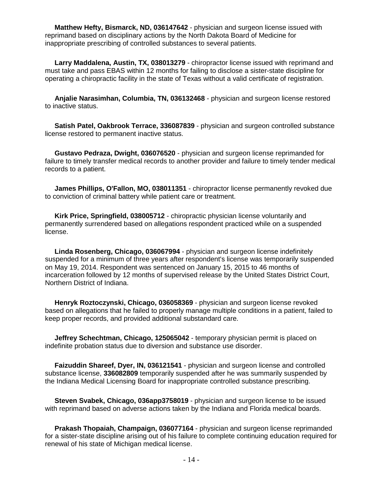**Matthew Hefty, Bismarck, ND, 036147642** - physician and surgeon license issued with reprimand based on disciplinary actions by the North Dakota Board of Medicine for inappropriate prescribing of controlled substances to several patients.

 **Larry Maddalena, Austin, TX, 038013279** - chiropractor license issued with reprimand and must take and pass EBAS within 12 months for failing to disclose a sister-state discipline for operating a chiropractic facility in the state of Texas without a valid certificate of registration.

 **Anjalie Narasimhan, Columbia, TN, 036132468** - physician and surgeon license restored to inactive status.

 **Satish Patel, Oakbrook Terrace, 336087839** - physician and surgeon controlled substance license restored to permanent inactive status.

 **Gustavo Pedraza, Dwight, 036076520** - physician and surgeon license reprimanded for failure to timely transfer medical records to another provider and failure to timely tender medical records to a patient.

 **James Phillips, O'Fallon, MO, 038011351** - chiropractor license permanently revoked due to conviction of criminal battery while patient care or treatment.

 **Kirk Price, Springfield, 038005712** - chiropractic physician license voluntarily and permanently surrendered based on allegations respondent practiced while on a suspended license.

 **Linda Rosenberg, Chicago, 036067994** - physician and surgeon license indefinitely suspended for a minimum of three years after respondent's license was temporarily suspended on May 19, 2014. Respondent was sentenced on January 15, 2015 to 46 months of incarceration followed by 12 months of supervised release by the United States District Court, Northern District of Indiana.

 **Henryk Roztoczynski, Chicago, 036058369** - physician and surgeon license revoked based on allegations that he failed to properly manage multiple conditions in a patient, failed to keep proper records, and provided additional substandard care.

 **Jeffrey Schechtman, Chicago, 125065042** - temporary physician permit is placed on indefinite probation status due to diversion and substance use disorder.

 **Faizuddin Shareef, Dyer, IN, 036121541** - physician and surgeon license and controlled substance license, **336082809** temporarily suspended after he was summarily suspended by the Indiana Medical Licensing Board for inappropriate controlled substance prescribing.

 **Steven Svabek, Chicago, 036app3758019** - physician and surgeon license to be issued with reprimand based on adverse actions taken by the Indiana and Florida medical boards.

 **Prakash Thopaiah, Champaign, 036077164** - physician and surgeon license reprimanded for a sister-state discipline arising out of his failure to complete continuing education required for renewal of his state of Michigan medical license.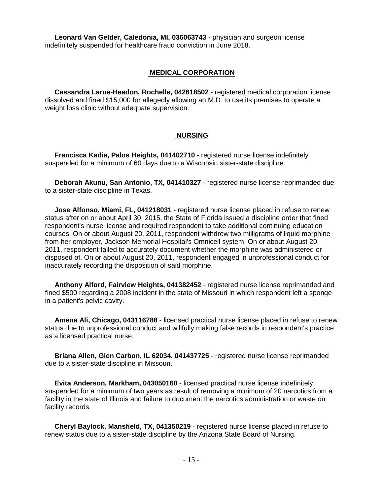**Leonard Van Gelder, Caledonia, MI, 036063743** - physician and surgeon license indefinitely suspended for healthcare fraud conviction in June 2018.

#### **MEDICAL CORPORATION**

 **Cassandra Larue-Headon, Rochelle, 042618502** - registered medical corporation license dissolved and fined \$15,000 for allegedly allowing an M.D. to use its premises to operate a weight loss clinic without adequate supervision.

#### **NURSING**

 **Francisca Kadia, Palos Heights, 041402710** - registered nurse license indefinitely suspended for a minimum of 60 days due to a Wisconsin sister-state discipline.

 **Deborah Akunu, San Antonio, TX, 041410327** - registered nurse license reprimanded due to a sister-state discipline in Texas.

 **Jose Alfonso, Miami, FL, 041218031** - registered nurse license placed in refuse to renew status after on or about April 30, 2015, the State of Florida issued a discipline order that fined respondent's nurse license and required respondent to take additional continuing education courses. On or about August 20, 2011, respondent withdrew two milligrams of liquid morphine from her employer, Jackson Memorial Hospital's Omnicell system. On or about August 20, 2011, respondent failed to accurately document whether the morphine was administered or disposed of. On or about August 20, 2011, respondent engaged in unprofessional conduct for inaccurately recording the disposition of said morphine.

 **Anthony Alford, Fairview Heights, 041382452** - registered nurse license reprimanded and fined \$500 regarding a 2008 incident in the state of Missouri in which respondent left a sponge in a patient's pelvic cavity.

 **Amena Ali, Chicago, 043116788** - licensed practical nurse license placed in refuse to renew status due to unprofessional conduct and willfully making false records in respondent's practice as a licensed practical nurse.

 **Briana Allen, Glen Carbon, IL 62034, 041437725** - registered nurse license reprimanded due to a sister-state discipline in Missouri.

 **Evita Anderson, Markham, 043050160** - licensed practical nurse license indefinitely suspended for a minimum of two years as result of removing a minimum of 20 narcotics from a facility in the state of Illinois and failure to document the narcotics administration or waste on facility records.

 **Cheryl Baylock, Mansfield, TX, 041350219** - registered nurse license placed in refuse to renew status due to a sister-state discipline by the Arizona State Board of Nursing.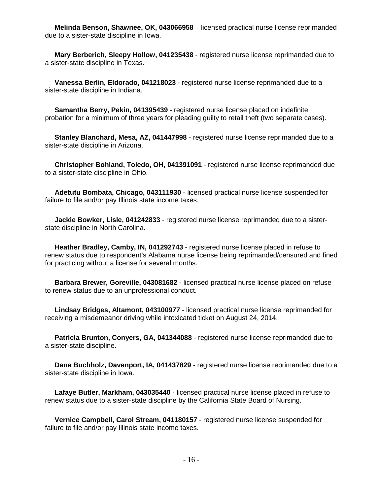**Melinda Benson, Shawnee, OK, 043066958** – licensed practical nurse license reprimanded due to a sister-state discipline in Iowa.

 **Mary Berberich, Sleepy Hollow, 041235438** - registered nurse license reprimanded due to a sister-state discipline in Texas.

 **Vanessa Berlin, Eldorado, 041218023** - registered nurse license reprimanded due to a sister-state discipline in Indiana.

 **Samantha Berry, Pekin, 041395439** - registered nurse license placed on indefinite probation for a minimum of three years for pleading guilty to retail theft (two separate cases).

 **Stanley Blanchard, Mesa, AZ, 041447998** - registered nurse license reprimanded due to a sister-state discipline in Arizona.

 **Christopher Bohland, Toledo, OH, 041391091** - registered nurse license reprimanded due to a sister-state discipline in Ohio.

 **Adetutu Bombata, Chicago, 043111930** - licensed practical nurse license suspended for failure to file and/or pay Illinois state income taxes.

 **Jackie Bowker, Lisle, 041242833** - registered nurse license reprimanded due to a sisterstate discipline in North Carolina.

 **Heather Bradley, Camby, IN, 041292743** - registered nurse license placed in refuse to renew status due to respondent's Alabama nurse license being reprimanded/censured and fined for practicing without a license for several months.

 **Barbara Brewer, Goreville, 043081682** - licensed practical nurse license placed on refuse to renew status due to an unprofessional conduct.

 **Lindsay Bridges, Altamont, 043100977** - licensed practical nurse license reprimanded for receiving a misdemeanor driving while intoxicated ticket on August 24, 2014.

 **Patricia Brunton, Conyers, GA, 041344088** - registered nurse license reprimanded due to a sister-state discipline.

 **Dana Buchholz, Davenport, IA, 041437829** - registered nurse license reprimanded due to a sister-state discipline in Iowa.

 **Lafaye Butler, Markham, 043035440** - licensed practical nurse license placed in refuse to renew status due to a sister-state discipline by the California State Board of Nursing.

 **Vernice Campbell, Carol Stream, 041180157** - registered nurse license suspended for failure to file and/or pay Illinois state income taxes.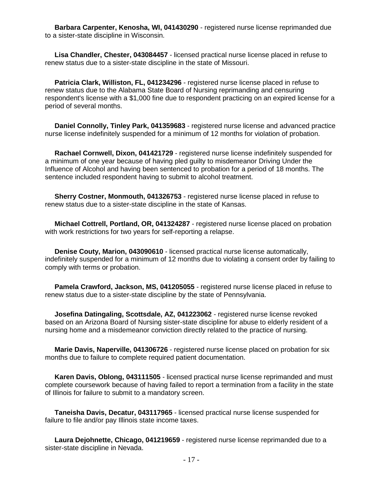**Barbara Carpenter, Kenosha, WI, 041430290** - registered nurse license reprimanded due to a sister-state discipline in Wisconsin.

 **Lisa Chandler, Chester, 043084457** - licensed practical nurse license placed in refuse to renew status due to a sister-state discipline in the state of Missouri.

 **Patricia Clark, Williston, FL, 041234296** - registered nurse license placed in refuse to renew status due to the Alabama State Board of Nursing reprimanding and censuring respondent's license with a \$1,000 fine due to respondent practicing on an expired license for a period of several months.

 **Daniel Connolly, Tinley Park, 041359683** - registered nurse license and advanced practice nurse license indefinitely suspended for a minimum of 12 months for violation of probation.

 **Rachael Cornwell, Dixon, 041421729** - registered nurse license indefinitely suspended for a minimum of one year because of having pled guilty to misdemeanor Driving Under the Influence of Alcohol and having been sentenced to probation for a period of 18 months. The sentence included respondent having to submit to alcohol treatment.

 **Sherry Costner, Monmouth, 041326753** - registered nurse license placed in refuse to renew status due to a sister-state discipline in the state of Kansas.

 **Michael Cottrell, Portland, OR, 041324287** - registered nurse license placed on probation with work restrictions for two years for self-reporting a relapse.

 **Denise Couty, Marion, 043090610** - licensed practical nurse license automatically, indefinitely suspended for a minimum of 12 months due to violating a consent order by failing to comply with terms or probation.

 **Pamela Crawford, Jackson, MS, 041205055** - registered nurse license placed in refuse to renew status due to a sister-state discipline by the state of Pennsylvania.

 **Josefina Datingaling, Scottsdale, AZ, 041223062** - registered nurse license revoked based on an Arizona Board of Nursing sister-state discipline for abuse to elderly resident of a nursing home and a misdemeanor conviction directly related to the practice of nursing.

 **Marie Davis, Naperville, 041306726** - registered nurse license placed on probation for six months due to failure to complete required patient documentation.

 **Karen Davis, Oblong, 043111505** - licensed practical nurse license reprimanded and must complete coursework because of having failed to report a termination from a facility in the state of Illinois for failure to submit to a mandatory screen.

 **Taneisha Davis, Decatur, 043117965** - licensed practical nurse license suspended for failure to file and/or pay Illinois state income taxes.

 **Laura Dejohnette, Chicago, 041219659** - registered nurse license reprimanded due to a sister-state discipline in Nevada.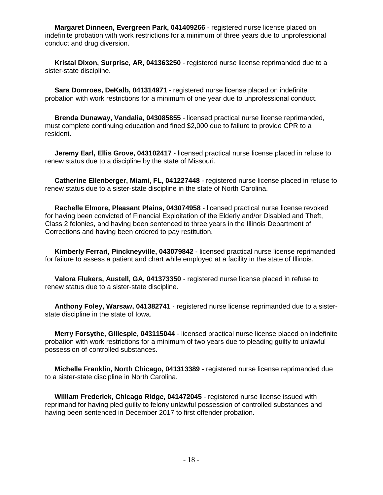**Margaret Dinneen, Evergreen Park, 041409266** - registered nurse license placed on indefinite probation with work restrictions for a minimum of three years due to unprofessional conduct and drug diversion.

 **Kristal Dixon, Surprise, AR, 041363250** - registered nurse license reprimanded due to a sister-state discipline.

 **Sara Domroes, DeKalb, 041314971** - registered nurse license placed on indefinite probation with work restrictions for a minimum of one year due to unprofessional conduct.

 **Brenda Dunaway, Vandalia, 043085855** - licensed practical nurse license reprimanded, must complete continuing education and fined \$2,000 due to failure to provide CPR to a resident.

 **Jeremy Earl, Ellis Grove, 043102417** - licensed practical nurse license placed in refuse to renew status due to a discipline by the state of Missouri.

 **Catherine Ellenberger, Miami, FL, 041227448** - registered nurse license placed in refuse to renew status due to a sister-state discipline in the state of North Carolina.

 **Rachelle Elmore, Pleasant Plains, 043074958** - licensed practical nurse license revoked for having been convicted of Financial Exploitation of the Elderly and/or Disabled and Theft, Class 2 felonies, and having been sentenced to three years in the Illinois Department of Corrections and having been ordered to pay restitution.

 **Kimberly Ferrari, Pinckneyville, 043079842** - licensed practical nurse license reprimanded for failure to assess a patient and chart while employed at a facility in the state of Illinois.

 **Valora Flukers, Austell, GA, 041373350** - registered nurse license placed in refuse to renew status due to a sister-state discipline.

 **Anthony Foley, Warsaw, 041382741** - registered nurse license reprimanded due to a sisterstate discipline in the state of Iowa.

 **Merry Forsythe, Gillespie, 043115044** - licensed practical nurse license placed on indefinite probation with work restrictions for a minimum of two years due to pleading guilty to unlawful possession of controlled substances.

 **Michelle Franklin, North Chicago, 041313389** - registered nurse license reprimanded due to a sister-state discipline in North Carolina.

 **William Frederick, Chicago Ridge, 041472045** - registered nurse license issued with reprimand for having pled guilty to felony unlawful possession of controlled substances and having been sentenced in December 2017 to first offender probation.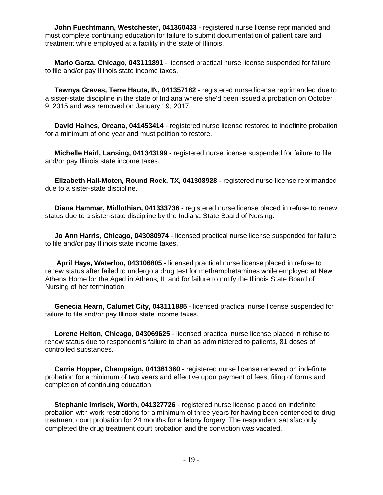**John Fuechtmann, Westchester, 041360433** - registered nurse license reprimanded and must complete continuing education for failure to submit documentation of patient care and treatment while employed at a facility in the state of Illinois.

 **Mario Garza, Chicago, 043111891** - licensed practical nurse license suspended for failure to file and/or pay Illinois state income taxes.

 **Tawnya Graves, Terre Haute, IN, 041357182** - registered nurse license reprimanded due to a sister-state discipline in the state of Indiana where she'd been issued a probation on October 9, 2015 and was removed on January 19, 2017.

 **David Haines, Oreana, 041453414** - registered nurse license restored to indefinite probation for a minimum of one year and must petition to restore.

 **Michelle Hairl, Lansing, 041343199** - registered nurse license suspended for failure to file and/or pay Illinois state income taxes.

 **Elizabeth Hall-Moten, Round Rock, TX, 041308928** - registered nurse license reprimanded due to a sister-state discipline.

 **Diana Hammar, Midlothian, 041333736** - registered nurse license placed in refuse to renew status due to a sister-state discipline by the Indiana State Board of Nursing.

 **Jo Ann Harris, Chicago, 043080974** - licensed practical nurse license suspended for failure to file and/or pay Illinois state income taxes.

 **April Hays, Waterloo, 043106805** - licensed practical nurse license placed in refuse to renew status after failed to undergo a drug test for methamphetamines while employed at New Athens Home for the Aged in Athens, IL and for failure to notify the Illinois State Board of Nursing of her termination.

 **Genecia Hearn, Calumet City, 043111885** - licensed practical nurse license suspended for failure to file and/or pay Illinois state income taxes.

 **Lorene Helton, Chicago, 043069625** - licensed practical nurse license placed in refuse to renew status due to respondent's failure to chart as administered to patients, 81 doses of controlled substances.

 **Carrie Hopper, Champaign, 041361360** - registered nurse license renewed on indefinite probation for a minimum of two years and effective upon payment of fees, filing of forms and completion of continuing education.

 **Stephanie Imrisek, Worth, 041327726** - registered nurse license placed on indefinite probation with work restrictions for a minimum of three years for having been sentenced to drug treatment court probation for 24 months for a felony forgery. The respondent satisfactorily completed the drug treatment court probation and the conviction was vacated.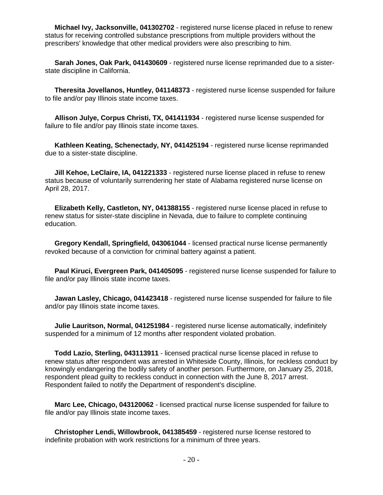**Michael Ivy, Jacksonville, 041302702** - registered nurse license placed in refuse to renew status for receiving controlled substance prescriptions from multiple providers without the prescribers' knowledge that other medical providers were also prescribing to him.

 **Sarah Jones, Oak Park, 041430609** - registered nurse license reprimanded due to a sisterstate discipline in California.

 **Theresita Jovellanos, Huntley, 041148373** - registered nurse license suspended for failure to file and/or pay Illinois state income taxes.

 **Allison Julye, Corpus Christi, TX, 041411934** - registered nurse license suspended for failure to file and/or pay Illinois state income taxes.

 **Kathleen Keating, Schenectady, NY, 041425194** - registered nurse license reprimanded due to a sister-state discipline.

 **Jill Kehoe, LeClaire, IA, 041221333** - registered nurse license placed in refuse to renew status because of voluntarily surrendering her state of Alabama registered nurse license on April 28, 2017.

 **Elizabeth Kelly, Castleton, NY, 041388155** - registered nurse license placed in refuse to renew status for sister-state discipline in Nevada, due to failure to complete continuing education.

 **Gregory Kendall, Springfield, 043061044** - licensed practical nurse license permanently revoked because of a conviction for criminal battery against a patient.

 **Paul Kiruci, Evergreen Park, 041405095** - registered nurse license suspended for failure to file and/or pay Illinois state income taxes.

 **Jawan Lasley, Chicago, 041423418** - registered nurse license suspended for failure to file and/or pay Illinois state income taxes.

 **Julie Lauritson, Normal, 041251984** - registered nurse license automatically, indefinitely suspended for a minimum of 12 months after respondent violated probation.

 **Todd Lazio, Sterling, 043113911** - licensed practical nurse license placed in refuse to renew status after respondent was arrested in Whiteside County, Illinois, for reckless conduct by knowingly endangering the bodily safety of another person. Furthermore, on January 25, 2018, respondent plead guilty to reckless conduct in connection with the June 8, 2017 arrest. Respondent failed to notify the Department of respondent's discipline.

 **Marc Lee, Chicago, 043120062** - licensed practical nurse license suspended for failure to file and/or pay Illinois state income taxes.

 **Christopher Lendi, Willowbrook, 041385459** - registered nurse license restored to indefinite probation with work restrictions for a minimum of three years.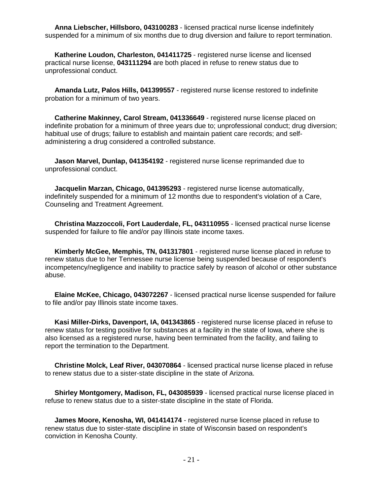**Anna Liebscher, Hillsboro, 043100283** - licensed practical nurse license indefinitely suspended for a minimum of six months due to drug diversion and failure to report termination.

 **Katherine Loudon, Charleston, 041411725** - registered nurse license and licensed practical nurse license, **043111294** are both placed in refuse to renew status due to unprofessional conduct.

 **Amanda Lutz, Palos Hills, 041399557** - registered nurse license restored to indefinite probation for a minimum of two years.

 **Catherine Makinney, Carol Stream, 041336649** - registered nurse license placed on indefinite probation for a minimum of three years due to; unprofessional conduct; drug diversion; habitual use of drugs; failure to establish and maintain patient care records; and selfadministering a drug considered a controlled substance.

 **Jason Marvel, Dunlap, 041354192** - registered nurse license reprimanded due to unprofessional conduct.

 **Jacquelin Marzan, Chicago, 041395293** - registered nurse license automatically, indefinitely suspended for a minimum of 12 months due to respondent's violation of a Care, Counseling and Treatment Agreement.

 **Christina Mazzoccoli, Fort Lauderdale, FL, 043110955** - licensed practical nurse license suspended for failure to file and/or pay Illinois state income taxes.

 **Kimberly McGee, Memphis, TN, 041317801** - registered nurse license placed in refuse to renew status due to her Tennessee nurse license being suspended because of respondent's incompetency/negligence and inability to practice safely by reason of alcohol or other substance abuse.

 **Elaine McKee, Chicago, 043072267** - licensed practical nurse license suspended for failure to file and/or pay Illinois state income taxes.

 **Kasi Miller-Dirks, Davenport, IA, 041343865** - registered nurse license placed in refuse to renew status for testing positive for substances at a facility in the state of Iowa, where she is also licensed as a registered nurse, having been terminated from the facility, and failing to report the termination to the Department.

 **Christine Molck, Leaf River, 043070864** - licensed practical nurse license placed in refuse to renew status due to a sister-state discipline in the state of Arizona.

 **Shirley Montgomery, Madison, FL, 043085939** - licensed practical nurse license placed in refuse to renew status due to a sister-state discipline in the state of Florida.

 **James Moore, Kenosha, WI, 041414174** - registered nurse license placed in refuse to renew status due to sister-state discipline in state of Wisconsin based on respondent's conviction in Kenosha County.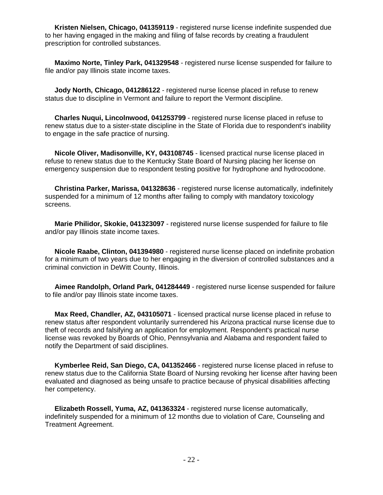**Kristen Nielsen, Chicago, 041359119** - registered nurse license indefinite suspended due to her having engaged in the making and filing of false records by creating a fraudulent prescription for controlled substances.

 **Maximo Norte, Tinley Park, 041329548** - registered nurse license suspended for failure to file and/or pay Illinois state income taxes.

**Jody North, Chicago, 041286122** - registered nurse license placed in refuse to renew status due to discipline in Vermont and failure to report the Vermont discipline.

 **Charles Nuqui, Lincolnwood, 041253799** - registered nurse license placed in refuse to renew status due to a sister-state discipline in the State of Florida due to respondent's inability to engage in the safe practice of nursing.

 **Nicole Oliver, Madisonville, KY, 043108745** - licensed practical nurse license placed in refuse to renew status due to the Kentucky State Board of Nursing placing her license on emergency suspension due to respondent testing positive for hydrophone and hydrocodone.

 **Christina Parker, Marissa, 041328636** - registered nurse license automatically, indefinitely suspended for a minimum of 12 months after failing to comply with mandatory toxicology screens.

 **Marie Philidor, Skokie, 041323097** - registered nurse license suspended for failure to file and/or pay Illinois state income taxes.

 **Nicole Raabe, Clinton, 041394980** - registered nurse license placed on indefinite probation for a minimum of two years due to her engaging in the diversion of controlled substances and a criminal conviction in DeWitt County, Illinois.

 **Aimee Randolph, Orland Park, 041284449** - registered nurse license suspended for failure to file and/or pay Illinois state income taxes.

 **Max Reed, Chandler, AZ, 043105071** - licensed practical nurse license placed in refuse to renew status after respondent voluntarily surrendered his Arizona practical nurse license due to theft of records and falsifying an application for employment. Respondent's practical nurse license was revoked by Boards of Ohio, Pennsylvania and Alabama and respondent failed to notify the Department of said disciplines.

 **Kymberlee Reid, San Diego, CA, 041352466** - registered nurse license placed in refuse to renew status due to the California State Board of Nursing revoking her license after having been evaluated and diagnosed as being unsafe to practice because of physical disabilities affecting her competency.

 **Elizabeth Rossell, Yuma, AZ, 041363324** - registered nurse license automatically, indefinitely suspended for a minimum of 12 months due to violation of Care, Counseling and Treatment Agreement.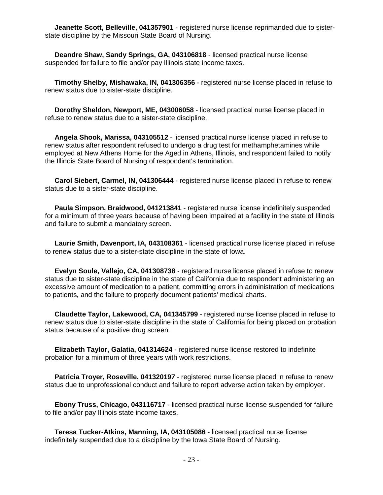**Jeanette Scott, Belleville, 041357901** - registered nurse license reprimanded due to sisterstate discipline by the Missouri State Board of Nursing.

 **Deandre Shaw, Sandy Springs, GA, 043106818** - licensed practical nurse license suspended for failure to file and/or pay Illinois state income taxes.

 **Timothy Shelby, Mishawaka, IN, 041306356** - registered nurse license placed in refuse to renew status due to sister-state discipline.

 **Dorothy Sheldon, Newport, ME, 043006058** - licensed practical nurse license placed in refuse to renew status due to a sister-state discipline.

 **Angela Shook, Marissa, 043105512** - licensed practical nurse license placed in refuse to renew status after respondent refused to undergo a drug test for methamphetamines while employed at New Athens Home for the Aged in Athens, Illinois, and respondent failed to notify the Illinois State Board of Nursing of respondent's termination.

 **Carol Siebert, Carmel, IN, 041306444** - registered nurse license placed in refuse to renew status due to a sister-state discipline.

 **Paula Simpson, Braidwood, 041213841** - registered nurse license indefinitely suspended for a minimum of three years because of having been impaired at a facility in the state of Illinois and failure to submit a mandatory screen.

 **Laurie Smith, Davenport, IA, 043108361** - licensed practical nurse license placed in refuse to renew status due to a sister-state discipline in the state of Iowa.

 **Evelyn Soule, Vallejo, CA, 041308738** - registered nurse license placed in refuse to renew status due to sister-state discipline in the state of California due to respondent administering an excessive amount of medication to a patient, committing errors in administration of medications to patients, and the failure to properly document patients' medical charts.

 **Claudette Taylor, Lakewood, CA, 041345799** - registered nurse license placed in refuse to renew status due to sister-state discipline in the state of California for being placed on probation status because of a positive drug screen.

 **Elizabeth Taylor, Galatia, 041314624** - registered nurse license restored to indefinite probation for a minimum of three years with work restrictions.

 **Patricia Troyer, Roseville, 041320197** - registered nurse license placed in refuse to renew status due to unprofessional conduct and failure to report adverse action taken by employer.

 **Ebony Truss, Chicago, 043116717** - licensed practical nurse license suspended for failure to file and/or pay Illinois state income taxes.

 **Teresa Tucker-Atkins, Manning, IA, 043105086** - licensed practical nurse license indefinitely suspended due to a discipline by the Iowa State Board of Nursing.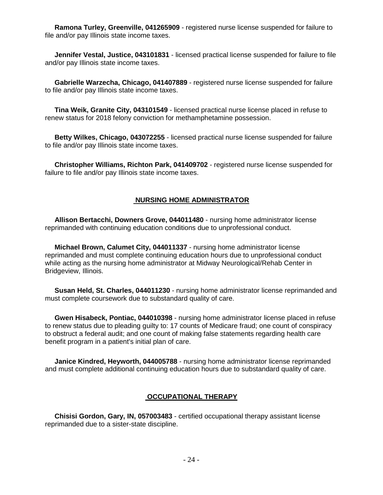**Ramona Turley, Greenville, 041265909** - registered nurse license suspended for failure to file and/or pay Illinois state income taxes.

 **Jennifer Vestal, Justice, 043101831** - licensed practical license suspended for failure to file and/or pay Illinois state income taxes.

 **Gabrielle Warzecha, Chicago, 041407889** - registered nurse license suspended for failure to file and/or pay Illinois state income taxes.

 **Tina Weik, Granite City, 043101549** - licensed practical nurse license placed in refuse to renew status for 2018 felony conviction for methamphetamine possession.

 **Betty Wilkes, Chicago, 043072255** - licensed practical nurse license suspended for failure to file and/or pay Illinois state income taxes.

 **Christopher Williams, Richton Park, 041409702** - registered nurse license suspended for failure to file and/or pay Illinois state income taxes.

#### **NURSING HOME ADMINISTRATOR**

 **Allison Bertacchi, Downers Grove, 044011480** - nursing home administrator license reprimanded with continuing education conditions due to unprofessional conduct.

 **Michael Brown, Calumet City, 044011337** - nursing home administrator license reprimanded and must complete continuing education hours due to unprofessional conduct while acting as the nursing home administrator at Midway Neurological/Rehab Center in Bridgeview, Illinois.

 **Susan Held, St. Charles, 044011230** - nursing home administrator license reprimanded and must complete coursework due to substandard quality of care.

 **Gwen Hisabeck, Pontiac, 044010398** - nursing home administrator license placed in refuse to renew status due to pleading guilty to: 17 counts of Medicare fraud; one count of conspiracy to obstruct a federal audit; and one count of making false statements regarding health care benefit program in a patient's initial plan of care.

 **Janice Kindred, Heyworth, 044005788** - nursing home administrator license reprimanded and must complete additional continuing education hours due to substandard quality of care.

#### **OCCUPATIONAL THERAPY**

 **Chisisi Gordon, Gary, IN, 057003483** - certified occupational therapy assistant license reprimanded due to a sister-state discipline.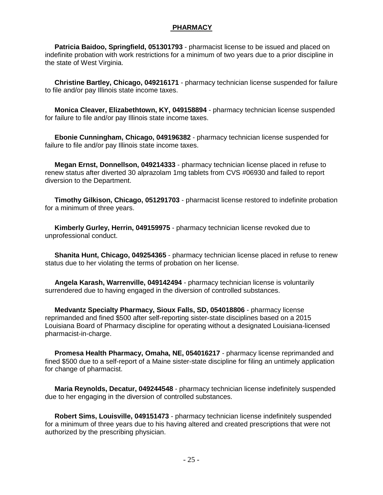#### **PHARMACY**

 **Patricia Baidoo, Springfield, 051301793** - pharmacist license to be issued and placed on indefinite probation with work restrictions for a minimum of two years due to a prior discipline in the state of West Virginia.

 **Christine Bartley, Chicago, 049216171** - pharmacy technician license suspended for failure to file and/or pay Illinois state income taxes.

 **Monica Cleaver, Elizabethtown, KY, 049158894** - pharmacy technician license suspended for failure to file and/or pay Illinois state income taxes.

 **Ebonie Cunningham, Chicago, 049196382** - pharmacy technician license suspended for failure to file and/or pay Illinois state income taxes.

 **Megan Ernst, Donnellson, 049214333** - pharmacy technician license placed in refuse to renew status after diverted 30 alprazolam 1mg tablets from CVS #06930 and failed to report diversion to the Department.

 **Timothy Gilkison, Chicago, 051291703** - pharmacist license restored to indefinite probation for a minimum of three years.

 **Kimberly Gurley, Herrin, 049159975** - pharmacy technician license revoked due to unprofessional conduct.

 **Shanita Hunt, Chicago, 049254365** - pharmacy technician license placed in refuse to renew status due to her violating the terms of probation on her license.

 **Angela Karash, Warrenville, 049142494** - pharmacy technician license is voluntarily surrendered due to having engaged in the diversion of controlled substances.

 **Medvantz Specialty Pharmacy, Sioux Falls, SD, 054018806** - pharmacy license reprimanded and fined \$500 after self-reporting sister-state disciplines based on a 2015 Louisiana Board of Pharmacy discipline for operating without a designated Louisiana-licensed pharmacist-in-charge.

 **Promesa Health Pharmacy, Omaha, NE, 054016217** - pharmacy license reprimanded and fined \$500 due to a self-report of a Maine sister-state discipline for filing an untimely application for change of pharmacist.

 **Maria Reynolds, Decatur, 049244548** - pharmacy technician license indefinitely suspended due to her engaging in the diversion of controlled substances.

 **Robert Sims, Louisville, 049151473** - pharmacy technician license indefinitely suspended for a minimum of three years due to his having altered and created prescriptions that were not authorized by the prescribing physician.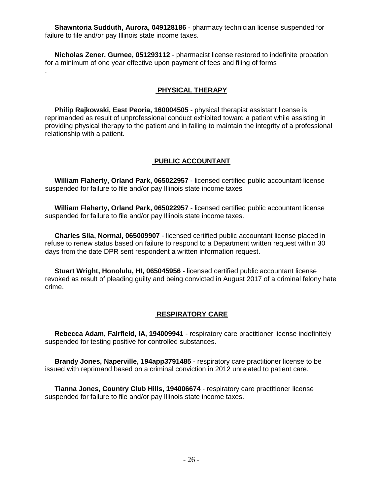**Shawntoria Sudduth, Aurora, 049128186** - pharmacy technician license suspended for failure to file and/or pay Illinois state income taxes.

 **Nicholas Zener, Gurnee, 051293112** - pharmacist license restored to indefinite probation for a minimum of one year effective upon payment of fees and filing of forms

.

#### **PHYSICAL THERAPY**

 **Philip Rajkowski, East Peoria, 160004505** - physical therapist assistant license is reprimanded as result of unprofessional conduct exhibited toward a patient while assisting in providing physical therapy to the patient and in failing to maintain the integrity of a professional relationship with a patient.

#### **PUBLIC ACCOUNTANT**

 **William Flaherty, Orland Park, 065022957** - licensed certified public accountant license suspended for failure to file and/or pay Illinois state income taxes

 **William Flaherty, Orland Park, 065022957** - licensed certified public accountant license suspended for failure to file and/or pay Illinois state income taxes.

 **Charles Sila, Normal, 065009907** - licensed certified public accountant license placed in refuse to renew status based on failure to respond to a Department written request within 30 days from the date DPR sent respondent a written information request.

 **Stuart Wright, Honolulu, HI, 065045956** - licensed certified public accountant license revoked as result of pleading guilty and being convicted in August 2017 of a criminal felony hate crime.

#### **RESPIRATORY CARE**

 **Rebecca Adam, Fairfield, IA, 194009941** - respiratory care practitioner license indefinitely suspended for testing positive for controlled substances.

 **Brandy Jones, Naperville, 194app3791485** - respiratory care practitioner license to be issued with reprimand based on a criminal conviction in 2012 unrelated to patient care.

 **Tianna Jones, Country Club Hills, 194006674** - respiratory care practitioner license suspended for failure to file and/or pay Illinois state income taxes.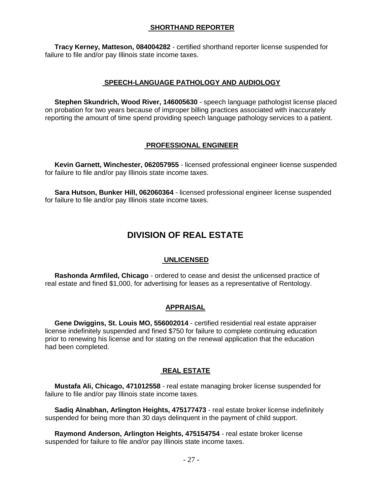#### **SHORTHAND REPORTER**

 **Tracy Kerney, Matteson, 084004282** - certified shorthand reporter license suspended for failure to file and/or pay Illinois state income taxes.

#### **SPEECH-LANGUAGE PATHOLOGY AND AUDIOLOGY**

 **Stephen Skundrich, Wood River, 146005630** - speech language pathologist license placed on probation for two years because of improper billing practices associated with inaccurately reporting the amount of time spend providing speech language pathology services to a patient.

#### **PROFESSIONAL ENGINEER**

 **Kevin Garnett, Winchester, 062057955** - licensed professional engineer license suspended for failure to file and/or pay Illinois state income taxes.

 **Sara Hutson, Bunker Hill, 062060364** - licensed professional engineer license suspended for failure to file and/or pay Illinois state income taxes.

### **DIVISION OF REAL ESTATE**

#### **UNLICENSED**

 **Rashonda Armfiled, Chicago** - ordered to cease and desist the unlicensed practice of real estate and fined \$1,000, for advertising for leases as a representative of Rentology.

#### **APPRAISAL**

 **Gene Dwiggins, St. Louis MO, 556002014** - certified residential real estate appraiser license indefinitely suspended and fined \$750 for failure to complete continuing education prior to renewing his license and for stating on the renewal application that the education had been completed.

#### **REAL ESTATE**

 **Mustafa Ali, Chicago, 471012558** - real estate managing broker license suspended for failure to file and/or pay Illinois state income taxes.

 **Sadiq Alnabhan, Arlington Heights, 475177473** - real estate broker license indefinitely suspended for being more than 30 days delinquent in the payment of child support.

 **Raymond Anderson, Arlington Heights, 475154754** - real estate broker license suspended for failure to file and/or pay Illinois state income taxes.